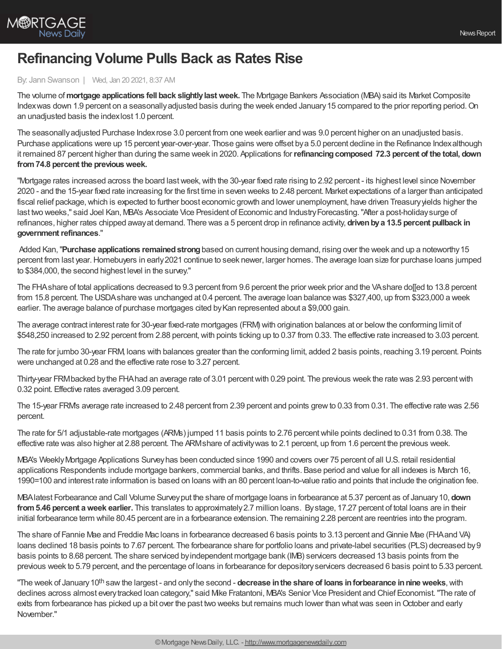

## **Refinancing Volume Pulls Back as Rates Rise**

## By: Jann Swanson | Wed, Jan 20 2021, 8:37 AM

The volume of**mortgage applications fell back slightlylastweek.** The Mortgage Bankers Association (MBA) said its MarketComposite Indexwas down 1.9 percent on a seasonally adjusted basis during the week ended January 15 compared to the prior reporting period. On an unadjusted basis the indexlost 1.0 percent.

The seasonallyadjusted Purchase Indexrose 3.0 percent from one week earlier and was 9.0 percent higher on an unadjusted basis. Purchase applications were up 15 percent year-over-year. Those gains were offset bya 5.0 percent decline in the Refinance Indexalthough it remained 87 percent higher than during the same week in 2020. Applications for**refinancingcomposed 72.3 percent of the total, down from74.8 percent the previousweek.**

"Mortgage rates increased across the board lastweek,with the 30-year fixed rate rising to 2.92 percent - its highest level since November 2020 - and the 15-year fixed rate increasing for the first time in seven weeks to 2.48 percent. Market expectations of a larger than anticipated fiscal relief package, which is expected to further boost economic growth and lower unemployment, have driven Treasury yields higher the last two weeks," said Joel Kan, MBA's Associate Vice President of Economic and IndustryForecasting."After a post-holidaysurge of refinances, higher rates chipped awayat demand. There was a 5 percent drop in refinance activity, **drivenbya 13.5 percent pullback in** government refinances."

Added Kan, "Purchase applications remained strong based on current housing demand, rising over the week and up a noteworthy 15 percent from last year.Homebuyers in early2021 continue to seek newer, larger homes. The average loan size for purchase loans jumped to \$384,000, the second highest level in the survey."

The FHAshare of total applications decreased to 9.3 percent from 9.6 percent the prior week prior and the VAshare do[[ed to 13.8 percent from 15.8 percent. The USDAshare was unchanged at 0.4 percent. The average loan balance was \$327,400, up from \$323,000 a week earlier. The average balance of purchase mortgages cited by Kan represented about a \$9,000 gain.

The average contract interest rate for 30-year fixed-rate mortgages (FRM) with origination balances at or belowthe conforming limit of \$548,250 increased to 2.92 percent from 2.88 percent, with points ticking up to 0.37 from 0.33. The effective rate increased to 3.03 percent.

The rate for jumbo 30-year FRM, loans with balances greater than the conforming limit, added 2 basis points, reaching 3.19 percent. Points were unchanged at 0.28 and the effective rate rose to 3.27 percent.

Thirty-year FRMbacked by the FHA had an average rate of 3.01 percent with 0.29 point. The previous week the rate was 2.93 percent with 0.32 point. Effective rates averaged 3.09 percent.

The 15-year FRMs average rate increased to 2.48 percent from 2.39 percent and points grew to 0.33 from 0.31. The effective rate was 2.56 percent.

The rate for 5/1 adjustable-rate mortgages (ARMs) jumped 11 basis points to 2.76 percentwhile points declined to 0.31 from 0.38. The effective rate was also higher at 2.88 percent. The ARMshare of activitywas to 2.1 percent, up from 1.6 percent the previous week.

MBA's WeeklyMortgage Applications Surveyhas been conducted since 1990 and covers over 75 percent of all U.S. retail residential applications Respondents include mortgage bankers, commercial banks, and thrifts. Base period and value for all indexes is March 16, 1990=100 and interest rate information is based on loans with an 80 percent loan-to-value ratio and points that include the origination fee.

MBAlatest Forbearance and Call Volume Surveyput the share of mortgage loans in forbearance at 5.37 percent as of January10, **down from5.46 percent aweek earlier.** This translates to approximately2.7 million loans. Bystage, 17.27 percent of total loans are in their initial forbearance term while 80.45 percent are in a forbearance extension. The remaining 2.28 percent are reentries into the program.

The share of Fannie Mae and Freddie Mac loans in forbearance decreased 6 basis points to 3.13 percent andGinnie Mae (FHAand VA) loans declined 18 basis points to 7.67 percent. The forbearance share for portfolio loans and private-label securities (PLS) decreased by 9 basis points to 8.68 percent. The share serviced byindependent mortgage bank (IMB) servicers decreased 13 basis points from the previous week to 5.79 percent, and the percentage of loans in forbearance for depositoryservicers decreased 6 basis point to 5.33 percent.

"The week of January 10<sup>th</sup> saw the largest - and only the second - decrease in the share of loans in forbearance in nine weeks, with declines across almost everytracked loan category," said Mike Fratantoni, MBA's Senior Vice President and Chief Economist."The rate of exits from forbearance has picked up a bit over the past two weeks but remains much lower than what was seen in October and early November."